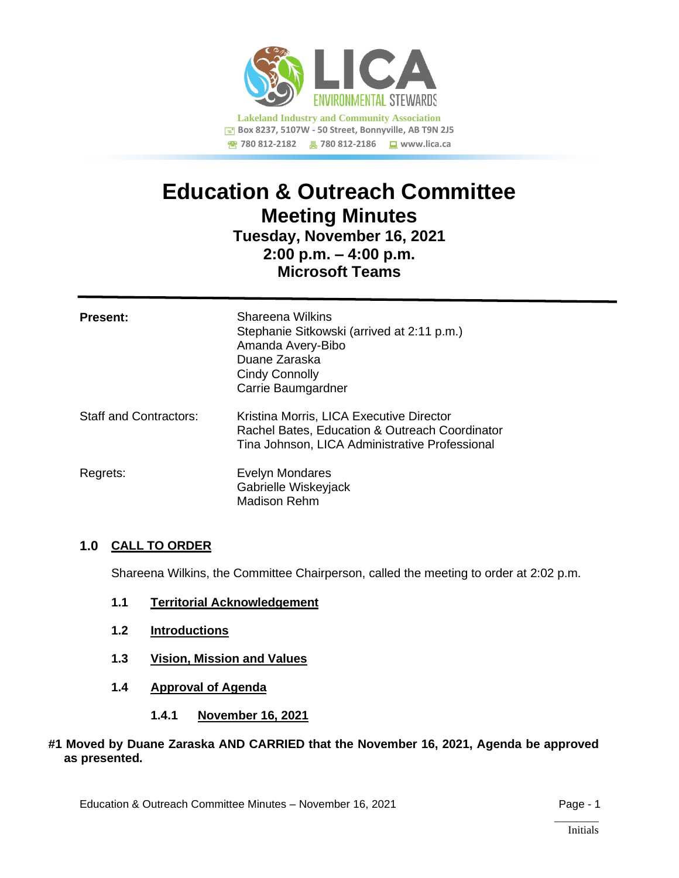

# **Education & Outreach Committee Meeting Minutes**

# **Tuesday, November 16, 2021 2:00 p.m. – 4:00 p.m. Microsoft Teams**

| <b>Present:</b>        | Shareena Wilkins<br>Stephanie Sitkowski (arrived at 2:11 p.m.)<br>Amanda Avery-Bibo<br>Duane Zaraska<br>Cindy Connolly<br>Carrie Baumgardner |
|------------------------|----------------------------------------------------------------------------------------------------------------------------------------------|
| Staff and Contractors: | Kristina Morris, LICA Executive Director<br>Rachel Bates, Education & Outreach Coordinator<br>Tina Johnson, LICA Administrative Professional |
| Regrets:               | <b>Evelyn Mondares</b><br>Gabrielle Wiskeyjack<br><b>Madison Rehm</b>                                                                        |

# **1.0 CALL TO ORDER**

Shareena Wilkins, the Committee Chairperson, called the meeting to order at 2:02 p.m.

- **1.1 Territorial Acknowledgement**
- **1.2 Introductions**
- **1.3 Vision, Mission and Values**
- **1.4 Approval of Agenda**
	- **1.4.1 November 16, 2021**

#### **#1 Moved by Duane Zaraska AND CARRIED that the November 16, 2021, Agenda be approved as presented.**

 $\overline{\phantom{a}}$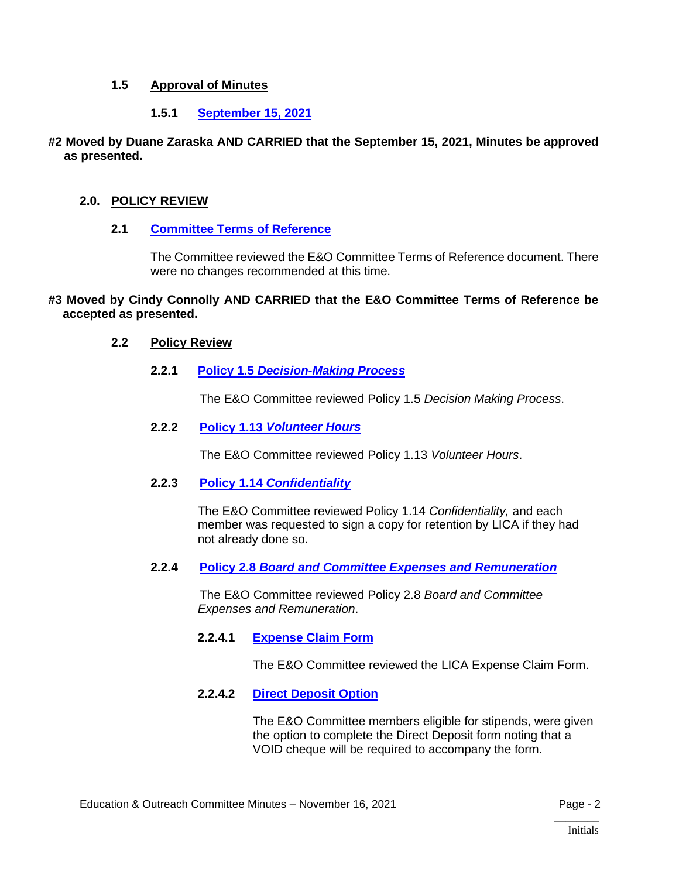## **1.5 Approval of Minutes**

# **1.5.1 [September 15, 2021](https://lica2.sharepoint.com/:b:/s/Office/EZtEgyeAWVZHuqWzEJF44msBAO4GJ1DRGnezmIWc3zGWhg?e=veGSE4)**

#### **#2 Moved by Duane Zaraska AND CARRIED that the September 15, 2021, Minutes be approved as presented.**

# **2.0. POLICY REVIEW**

# **2.1 [Committee Terms of Reference](https://lica2.sharepoint.com/:b:/s/Office/EY0kLOQ3Mw5CjgtdKmQYxAYBolrBz1J_KTixJsvwv_hAyw?e=gmG0yE)**

The Committee reviewed the E&O Committee Terms of Reference document. There were no changes recommended at this time.

#### **#3 Moved by Cindy Connolly AND CARRIED that the E&O Committee Terms of Reference be accepted as presented.**

#### **2.2 Policy Review**

**2.2.1 Policy 1.5** *[Decision-Making Process](https://lica2.sharepoint.com/:b:/s/Office/ETtcOU9hKSRHhvS2VPgz04IBuvJVhKd9y5Y2nzIZoZDY0Q?e=voYDp4)*

The E&O Committee reviewed Policy 1.5 *Decision Making Process*.

**2.2.2 Policy 1.13** *[Volunteer Hours](https://lica2.sharepoint.com/:b:/s/Office/EYTgKG47pGdDpofjF8C2IuUBhu1eM8oSaeN9g_B41GUbvw?e=hWYLB4)*

The E&O Committee reviewed Policy 1.13 *Volunteer Hours*.

#### **2.2.3 Policy 1.14** *[Confidentiality](https://lica2.sharepoint.com/:b:/s/Office/Ee8I7HT3zQVGvaXhBVDWuG4BEsTXSrnwtAcReL3lQX2WcA?e=fOrlV7)*

The E&O Committee reviewed Policy 1.14 *Confidentiality,* and each member was requested to sign a copy for retention by LICA if they had not already done so.

**2.2.4 Policy 2.8** *[Board and Committee Expenses and Remuneration](https://lica2.sharepoint.com/:b:/s/Office/ETSrpBQLUTRBoNkujomLKgEBOx6OBLLL3Fq4hUex6Kaz4A?e=VcRO0C)*

The E&O Committee reviewed Policy 2.8 *Board and Committee Expenses and Remuneration*.

#### **2.2.4.1 [Expense Claim Form](https://lica2.sharepoint.com/:b:/s/Office/EV-hP4VKJENFntDzxFr__s0BboJ95bcnyyMRSfz2z6gxzA?e=5CqliW)**

The E&O Committee reviewed the LICA Expense Claim Form.

#### **2.2.4.2 [Direct Deposit Option](https://lica2.sharepoint.com/:b:/s/Office/Ebfl7uKA6c9EokBezBB7eo8Bb2OkdMlBHyGSQS199llpxg?e=tR2m5U)**

The E&O Committee members eligible for stipends, were given the option to complete the Direct Deposit form noting that a VOID cheque will be required to accompany the form.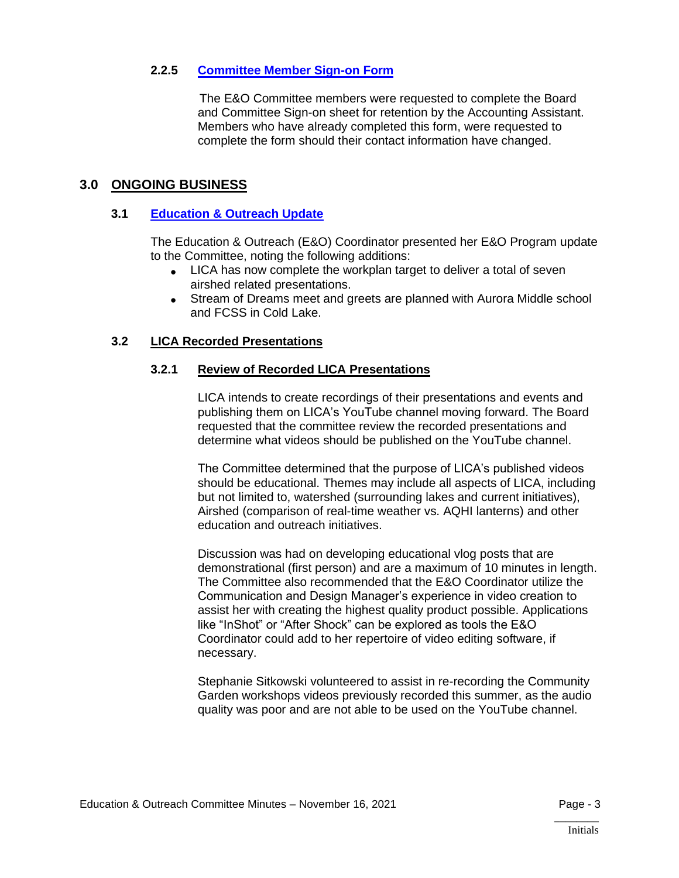## **2.2.5 [Committee Member Sign-on Form](https://lica2.sharepoint.com/:b:/s/Office/EcXE5tlIIKpNlUY5lpE2XQgBJ6VmYfKlqxrymMjnswqnlQ?e=lnrbOa)**

The E&O Committee members were requested to complete the Board and Committee Sign-on sheet for retention by the Accounting Assistant. Members who have already completed this form, were requested to complete the form should their contact information have changed.

# **3.0 ONGOING BUSINESS**

# **3.1 [Education & Outreach Update](https://lica2.sharepoint.com/:b:/s/Office/EXaaUmeElgdNq9a_BlDi134BJs68DGRyd6-g6TBuKzt61A?e=bVXogP)**

The Education & Outreach (E&O) Coordinator presented her E&O Program update to the Committee, noting the following additions:

- LICA has now complete the workplan target to deliver a total of seven airshed related presentations.
- Stream of Dreams meet and greets are planned with Aurora Middle school and FCSS in Cold Lake.

# **3.2 LICA Recorded Presentations**

# **3.2.1 Review of Recorded LICA Presentations**

LICA intends to create recordings of their presentations and events and publishing them on LICA's YouTube channel moving forward. The Board requested that the committee review the recorded presentations and determine what videos should be published on the YouTube channel.

The Committee determined that the purpose of LICA's published videos should be educational. Themes may include all aspects of LICA, including but not limited to, watershed (surrounding lakes and current initiatives), Airshed (comparison of real-time weather vs. AQHI lanterns) and other education and outreach initiatives.

Discussion was had on developing educational vlog posts that are demonstrational (first person) and are a maximum of 10 minutes in length. The Committee also recommended that the E&O Coordinator utilize the Communication and Design Manager's experience in video creation to assist her with creating the highest quality product possible. Applications like "InShot" or "After Shock" can be explored as tools the E&O Coordinator could add to her repertoire of video editing software, if necessary.

Stephanie Sitkowski volunteered to assist in re-recording the Community Garden workshops videos previously recorded this summer, as the audio quality was poor and are not able to be used on the YouTube channel.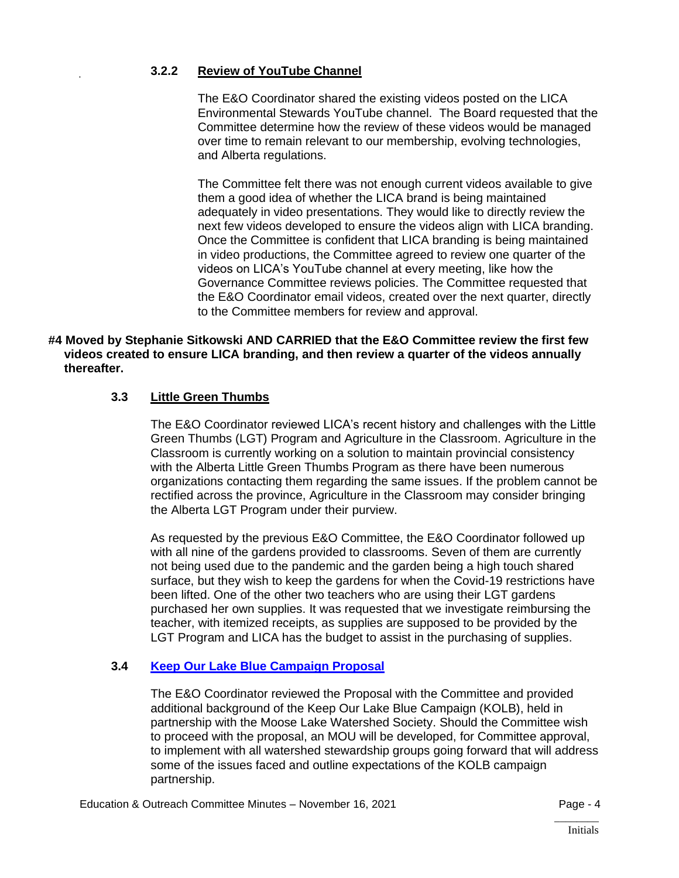# **3.2.2 Review of YouTube Channel**

The E&O Coordinator shared the existing videos posted on the LICA Environmental Stewards YouTube channel. The Board requested that the Committee determine how the review of these videos would be managed over time to remain relevant to our membership, evolving technologies, and Alberta regulations.

The Committee felt there was not enough current videos available to give them a good idea of whether the LICA brand is being maintained adequately in video presentations. They would like to directly review the next few videos developed to ensure the videos align with LICA branding. Once the Committee is confident that LICA branding is being maintained in video productions, the Committee agreed to review one quarter of the videos on LICA's YouTube channel at every meeting, like how the Governance Committee reviews policies. The Committee requested that the E&O Coordinator email videos, created over the next quarter, directly to the Committee members for review and approval.

#### **#4 Moved by Stephanie Sitkowski AND CARRIED that the E&O Committee review the first few videos created to ensure LICA branding, and then review a quarter of the videos annually thereafter.**

# **3.3 Little Green Thumbs**

The E&O Coordinator reviewed LICA's recent history and challenges with the Little Green Thumbs (LGT) Program and Agriculture in the Classroom. Agriculture in the Classroom is currently working on a solution to maintain provincial consistency with the Alberta Little Green Thumbs Program as there have been numerous organizations contacting them regarding the same issues. If the problem cannot be rectified across the province, Agriculture in the Classroom may consider bringing the Alberta LGT Program under their purview.

As requested by the previous E&O Committee, the E&O Coordinator followed up with all nine of the gardens provided to classrooms. Seven of them are currently not being used due to the pandemic and the garden being a high touch shared surface, but they wish to keep the gardens for when the Covid-19 restrictions have been lifted. One of the other two teachers who are using their LGT gardens purchased her own supplies. It was requested that we investigate reimbursing the teacher, with itemized receipts, as supplies are supposed to be provided by the LGT Program and LICA has the budget to assist in the purchasing of supplies.

#### **3.4 [Keep Our Lake Blue](https://lica2.sharepoint.com/:b:/s/Office/ESlWv7IVOjNLoEsMJ4bgHxYBpQ5RJ-h_aiDptLLXeyrXdg?e=v3p0rN) Campaign Proposal**

The E&O Coordinator reviewed the Proposal with the Committee and provided additional background of the Keep Our Lake Blue Campaign (KOLB), held in partnership with the Moose Lake Watershed Society. Should the Committee wish to proceed with the proposal, an MOU will be developed, for Committee approval, to implement with all watershed stewardship groups going forward that will address some of the issues faced and outline expectations of the KOLB campaign partnership.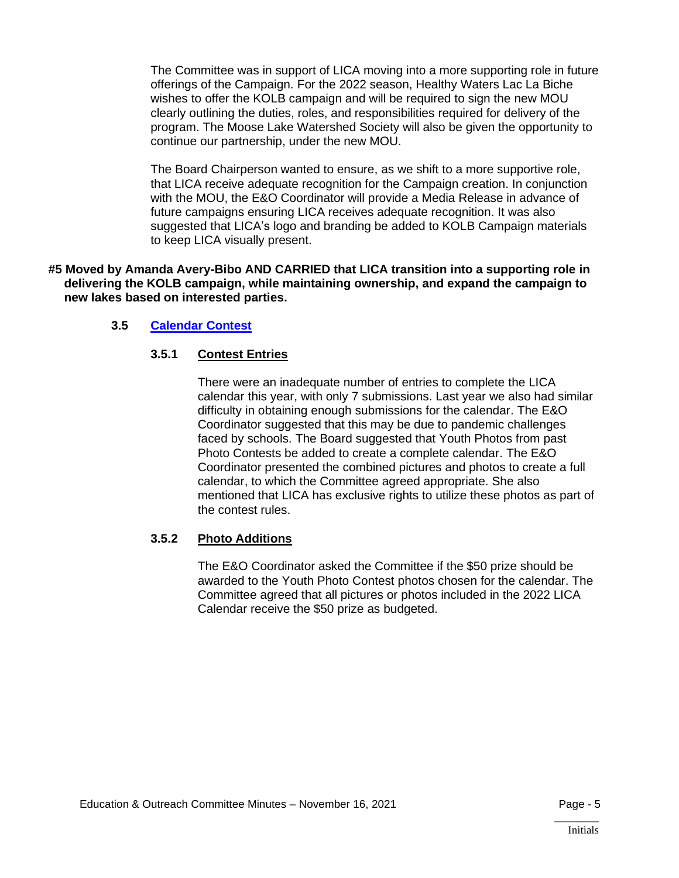The Committee was in support of LICA moving into a more supporting role in future offerings of the Campaign. For the 2022 season, Healthy Waters Lac La Biche wishes to offer the KOLB campaign and will be required to sign the new MOU clearly outlining the duties, roles, and responsibilities required for delivery of the program. The Moose Lake Watershed Society will also be given the opportunity to continue our partnership, under the new MOU.

The Board Chairperson wanted to ensure, as we shift to a more supportive role, that LICA receive adequate recognition for the Campaign creation. In conjunction with the MOU, the E&O Coordinator will provide a Media Release in advance of future campaigns ensuring LICA receives adequate recognition. It was also suggested that LICA's logo and branding be added to KOLB Campaign materials to keep LICA visually present.

**#5 Moved by Amanda Avery-Bibo AND CARRIED that LICA transition into a supporting role in delivering the KOLB campaign, while maintaining ownership, and expand the campaign to new lakes based on interested parties.**

#### **3.5 [Calendar Contest](https://lica2.sharepoint.com/:b:/s/Office/EUNpoHXEtgNAq_NbfoFq36IBD1Y_PsIop1gGTv7Mkmq_Hg?e=CwCQqi)**

# **3.5.1 Contest Entries**

There were an inadequate number of entries to complete the LICA calendar this year, with only 7 submissions. Last year we also had similar difficulty in obtaining enough submissions for the calendar. The E&O Coordinator suggested that this may be due to pandemic challenges faced by schools. The Board suggested that Youth Photos from past Photo Contests be added to create a complete calendar. The E&O Coordinator presented the combined pictures and photos to create a full calendar, to which the Committee agreed appropriate. She also mentioned that LICA has exclusive rights to utilize these photos as part of the contest rules.

#### **3.5.2 Photo Additions**

The E&O Coordinator asked the Committee if the \$50 prize should be awarded to the Youth Photo Contest photos chosen for the calendar. The Committee agreed that all pictures or photos included in the 2022 LICA Calendar receive the \$50 prize as budgeted.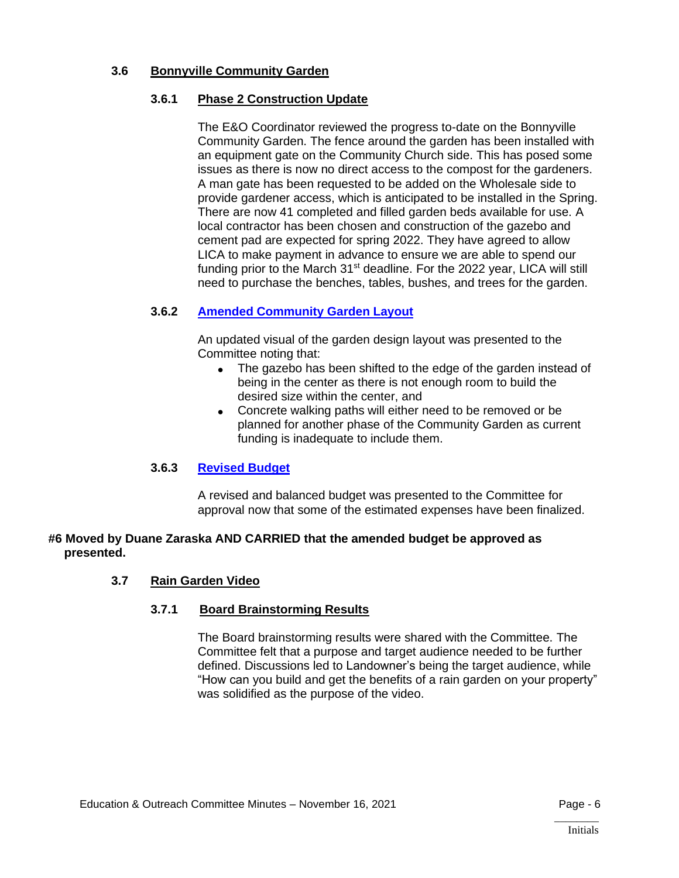# **3.6 Bonnyville Community Garden**

# **3.6.1 Phase 2 Construction Update**

The E&O Coordinator reviewed the progress to-date on the Bonnyville Community Garden. The fence around the garden has been installed with an equipment gate on the Community Church side. This has posed some issues as there is now no direct access to the compost for the gardeners. A man gate has been requested to be added on the Wholesale side to provide gardener access, which is anticipated to be installed in the Spring. There are now 41 completed and filled garden beds available for use. A local contractor has been chosen and construction of the gazebo and cement pad are expected for spring 2022. They have agreed to allow LICA to make payment in advance to ensure we are able to spend our funding prior to the March 31<sup>st</sup> deadline. For the 2022 year, LICA will still need to purchase the benches, tables, bushes, and trees for the garden.

# **3.6.2 [Amended Community Garden Layout](https://lica2.sharepoint.com/:b:/s/Office/EVtt-7e1DOFNm8LHNH0dfAIBcHzsi5SlnkljXSO-NGJ6Gw?e=yNWSCq)**

An updated visual of the garden design layout was presented to the Committee noting that:

- The gazebo has been shifted to the edge of the garden instead of being in the center as there is not enough room to build the desired size within the center, and
- Concrete walking paths will either need to be removed or be planned for another phase of the Community Garden as current funding is inadequate to include them.

#### **3.6.3 [Revised Budget](https://lica2.sharepoint.com/:x:/s/Office/EYIOg7sOozpOhccdjKZocJ0BE9yigIFp3Za-_dyS019EzA?e=S4F1UP)**

A revised and balanced budget was presented to the Committee for approval now that some of the estimated expenses have been finalized.

#### **#6 Moved by Duane Zaraska AND CARRIED that the amended budget be approved as presented.**

#### **3.7 Rain Garden Video**

#### **3.7.1 Board Brainstorming Results**

The Board brainstorming results were shared with the Committee. The Committee felt that a purpose and target audience needed to be further defined. Discussions led to Landowner's being the target audience, while "How can you build and get the benefits of a rain garden on your property" was solidified as the purpose of the video.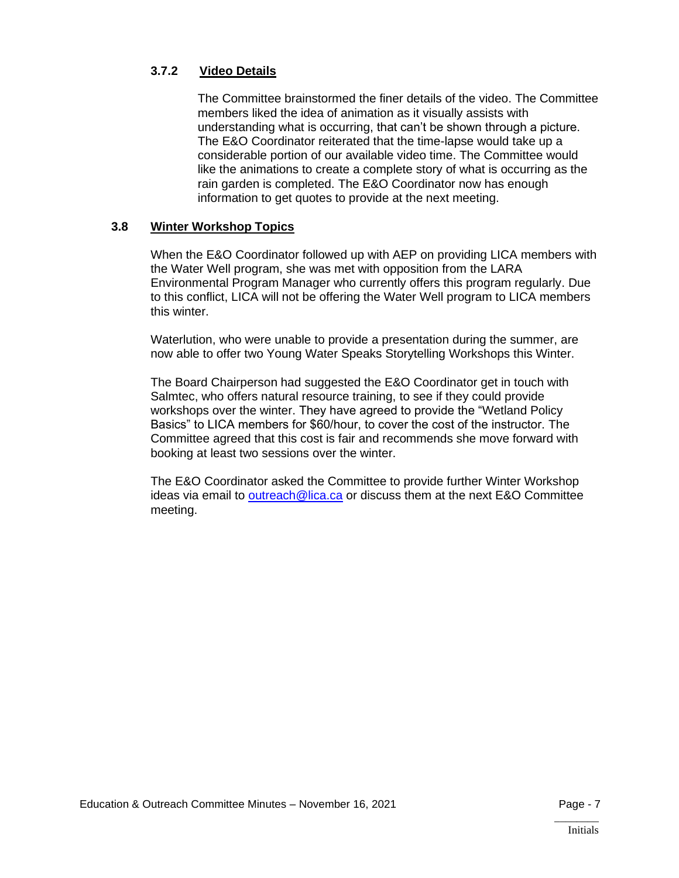# **3.7.2 Video Details**

The Committee brainstormed the finer details of the video. The Committee members liked the idea of animation as it visually assists with understanding what is occurring, that can't be shown through a picture. The E&O Coordinator reiterated that the time-lapse would take up a considerable portion of our available video time. The Committee would like the animations to create a complete story of what is occurring as the rain garden is completed. The E&O Coordinator now has enough information to get quotes to provide at the next meeting.

#### **3.8 Winter Workshop Topics**

When the E&O Coordinator followed up with AEP on providing LICA members with the Water Well program, she was met with opposition from the LARA Environmental Program Manager who currently offers this program regularly. Due to this conflict, LICA will not be offering the Water Well program to LICA members this winter.

Waterlution, who were unable to provide a presentation during the summer, are now able to offer two Young Water Speaks Storytelling Workshops this Winter.

The Board Chairperson had suggested the E&O Coordinator get in touch with Salmtec, who offers natural resource training, to see if they could provide workshops over the winter. They have agreed to provide the "Wetland Policy Basics" to LICA members for \$60/hour, to cover the cost of the instructor. The Committee agreed that this cost is fair and recommends she move forward with booking at least two sessions over the winter.

The E&O Coordinator asked the Committee to provide further Winter Workshop ideas via email to [outreach@lica.ca](mailto:outreach@lica.ca) or discuss them at the next E&O Committee meeting.